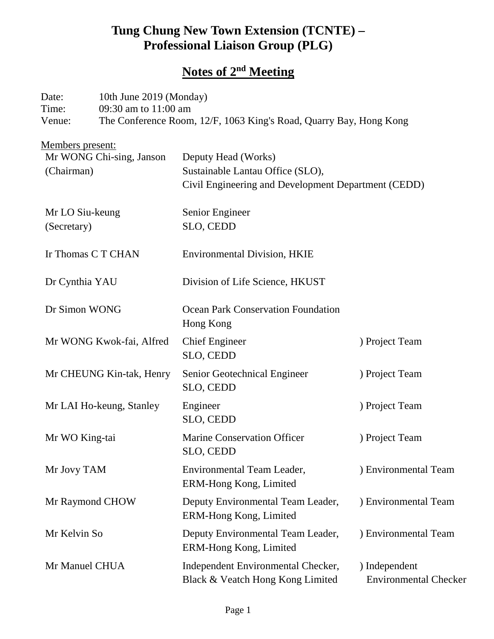## **Tung Chung New Town Extension (TCNTE) – Professional Liaison Group (PLG)**

# **Notes of 2nd Meeting**

| Date:<br>Time:<br>Venue:                                          | 10th June 2019 (Monday)<br>09:30 am to 11:00 am<br>The Conference Room, 12/F, 1063 King's Road, Quarry Bay, Hong Kong |                                                                                                                |                                               |  |
|-------------------------------------------------------------------|-----------------------------------------------------------------------------------------------------------------------|----------------------------------------------------------------------------------------------------------------|-----------------------------------------------|--|
| <u>Members present:</u><br>Mr WONG Chi-sing, Janson<br>(Chairman) |                                                                                                                       | Deputy Head (Works)<br>Sustainable Lantau Office (SLO),<br>Civil Engineering and Development Department (CEDD) |                                               |  |
| Mr LO Siu-keung<br>(Secretary)                                    |                                                                                                                       | Senior Engineer<br>SLO, CEDD                                                                                   |                                               |  |
| Ir Thomas C T CHAN                                                |                                                                                                                       | <b>Environmental Division, HKIE</b>                                                                            |                                               |  |
| Dr Cynthia YAU                                                    |                                                                                                                       | Division of Life Science, HKUST                                                                                |                                               |  |
| Dr Simon WONG                                                     |                                                                                                                       | <b>Ocean Park Conservation Foundation</b><br>Hong Kong                                                         |                                               |  |
| Mr WONG Kwok-fai, Alfred                                          |                                                                                                                       | <b>Chief Engineer</b><br>SLO, CEDD                                                                             | ) Project Team                                |  |
| Mr CHEUNG Kin-tak, Henry                                          |                                                                                                                       | Senior Geotechnical Engineer<br>SLO, CEDD                                                                      | ) Project Team                                |  |
| Mr LAI Ho-keung, Stanley                                          |                                                                                                                       | Engineer<br>SLO, CEDD                                                                                          | ) Project Team                                |  |
| Mr WO King-tai                                                    |                                                                                                                       | <b>Marine Conservation Officer</b><br>SLO, CEDD                                                                | ) Project Team                                |  |
| Mr Jovy TAM                                                       |                                                                                                                       | <b>Environmental Team Leader,</b><br>ERM-Hong Kong, Limited                                                    | ) Environmental Team                          |  |
| Mr Raymond CHOW                                                   |                                                                                                                       | Deputy Environmental Team Leader,<br>ERM-Hong Kong, Limited                                                    | ) Environmental Team                          |  |
| Mr Kelvin So                                                      |                                                                                                                       | Deputy Environmental Team Leader,<br>ERM-Hong Kong, Limited                                                    | ) Environmental Team                          |  |
| Mr Manuel CHUA                                                    |                                                                                                                       | Independent Environmental Checker,<br>Black & Veatch Hong Kong Limited                                         | ) Independent<br><b>Environmental Checker</b> |  |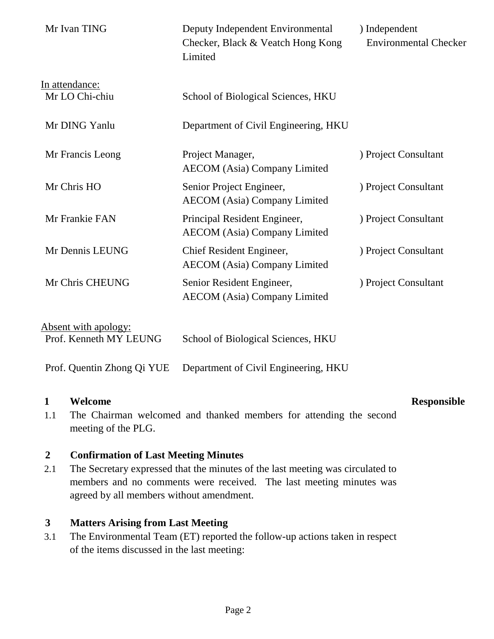| Mr Ivan TING                                   | Deputy Independent Environmental<br>Checker, Black & Veatch Hong Kong<br>Limited | ) Independent<br><b>Environmental Checker</b> |
|------------------------------------------------|----------------------------------------------------------------------------------|-----------------------------------------------|
| In attendance:<br>Mr LO Chi-chiu               | School of Biological Sciences, HKU                                               |                                               |
| Mr DING Yanlu                                  | Department of Civil Engineering, HKU                                             |                                               |
| Mr Francis Leong                               | Project Manager,<br><b>AECOM</b> (Asia) Company Limited                          | ) Project Consultant                          |
| Mr Chris HO                                    | Senior Project Engineer,<br><b>AECOM</b> (Asia) Company Limited                  | ) Project Consultant                          |
| Mr Frankie FAN                                 | Principal Resident Engineer,<br><b>AECOM</b> (Asia) Company Limited              | ) Project Consultant                          |
| Mr Dennis LEUNG                                | Chief Resident Engineer,<br><b>AECOM</b> (Asia) Company Limited                  | ) Project Consultant                          |
| Mr Chris CHEUNG                                | Senior Resident Engineer,<br><b>AECOM</b> (Asia) Company Limited                 | ) Project Consultant                          |
| Absent with apology:<br>Prof. Kenneth MY LEUNG | School of Biological Sciences, HKU                                               |                                               |

Prof. Quentin Zhong Qi YUE Department of Civil Engineering, HKU

#### **1 Welcome Responsible**

1.1 The Chairman welcomed and thanked members for attending the second meeting of the PLG.

#### **2 Confirmation of Last Meeting Minutes**

2.1 The Secretary expressed that the minutes of the last meeting was circulated to members and no comments were received. The last meeting minutes was agreed by all members without amendment.

#### **3 Matters Arising from Last Meeting**

3.1 The Environmental Team (ET) reported the follow-up actions taken in respect of the items discussed in the last meeting: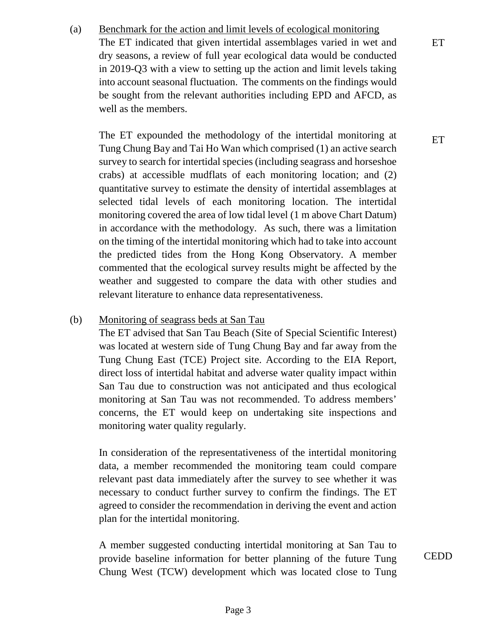(a) Benchmark for the action and limit levels of ecological monitoring The ET indicated that given intertidal assemblages varied in wet and dry seasons, a review of full year ecological data would be conducted in 2019-Q3 with a view to setting up the action and limit levels taking into account seasonal fluctuation. The comments on the findings would be sought from the relevant authorities including EPD and AFCD, as well as the members.

The ET expounded the methodology of the intertidal monitoring at Tung Chung Bay and Tai Ho Wan which comprised (1) an active search survey to search for intertidal species (including seagrass and horseshoe crabs) at accessible mudflats of each monitoring location; and (2) quantitative survey to estimate the density of intertidal assemblages at selected tidal levels of each monitoring location. The intertidal monitoring covered the area of low tidal level (1 m above Chart Datum) in accordance with the methodology. As such, there was a limitation on the timing of the intertidal monitoring which had to take into account the predicted tides from the Hong Kong Observatory. A member commented that the ecological survey results might be affected by the weather and suggested to compare the data with other studies and relevant literature to enhance data representativeness.

#### (b) Monitoring of seagrass beds at San Tau

The ET advised that San Tau Beach (Site of Special Scientific Interest) was located at western side of Tung Chung Bay and far away from the Tung Chung East (TCE) Project site. According to the EIA Report, direct loss of intertidal habitat and adverse water quality impact within San Tau due to construction was not anticipated and thus ecological monitoring at San Tau was not recommended. To address members' concerns, the ET would keep on undertaking site inspections and monitoring water quality regularly.

In consideration of the representativeness of the intertidal monitoring data, a member recommended the monitoring team could compare relevant past data immediately after the survey to see whether it was necessary to conduct further survey to confirm the findings. The ET agreed to consider the recommendation in deriving the event and action plan for the intertidal monitoring.

A member suggested conducting intertidal monitoring at San Tau to provide baseline information for better planning of the future Tung Chung West (TCW) development which was located close to Tung

**CEDD** 

**ET**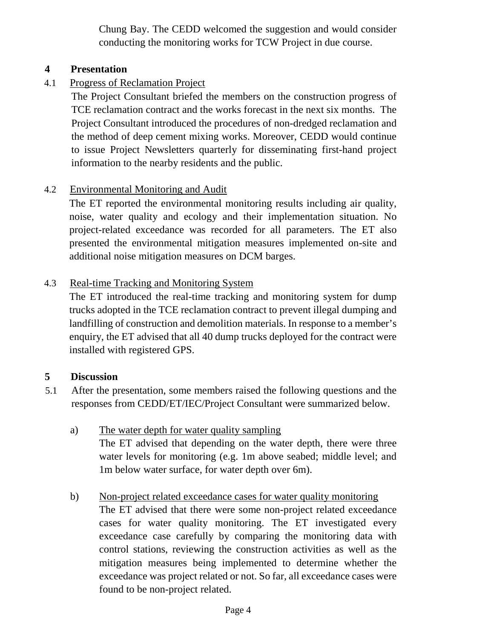Chung Bay. The CEDD welcomed the suggestion and would consider conducting the monitoring works for TCW Project in due course.

#### **4 Presentation**

4.1 Progress of Reclamation Project

The Project Consultant briefed the members on the construction progress of TCE reclamation contract and the works forecast in the next six months. The Project Consultant introduced the procedures of non-dredged reclamation and the method of deep cement mixing works. Moreover, CEDD would continue to issue Project Newsletters quarterly for disseminating first-hand project information to the nearby residents and the public.

#### 4.2 Environmental Monitoring and Audit

The ET reported the environmental monitoring results including air quality, noise, water quality and ecology and their implementation situation. No project-related exceedance was recorded for all parameters. The ET also presented the environmental mitigation measures implemented on-site and additional noise mitigation measures on DCM barges.

#### 4.3 Real-time Tracking and Monitoring System

The ET introduced the real-time tracking and monitoring system for dump trucks adopted in the TCE reclamation contract to prevent illegal dumping and landfilling of construction and demolition materials. In response to a member's enquiry, the ET advised that all 40 dump trucks deployed for the contract were installed with registered GPS.

#### **5 Discussion**

- 5.1 After the presentation, some members raised the following questions and the responses from CEDD/ET/IEC/Project Consultant were summarized below.
	- a) The water depth for water quality sampling The ET advised that depending on the water depth, there were three water levels for monitoring (e.g. 1m above seabed; middle level; and 1m below water surface, for water depth over 6m).
	- b) Non-project related exceedance cases for water quality monitoring The ET advised that there were some non-project related exceedance cases for water quality monitoring. The ET investigated every exceedance case carefully by comparing the monitoring data with control stations, reviewing the construction activities as well as the mitigation measures being implemented to determine whether the exceedance was project related or not. So far, all exceedance cases were found to be non-project related.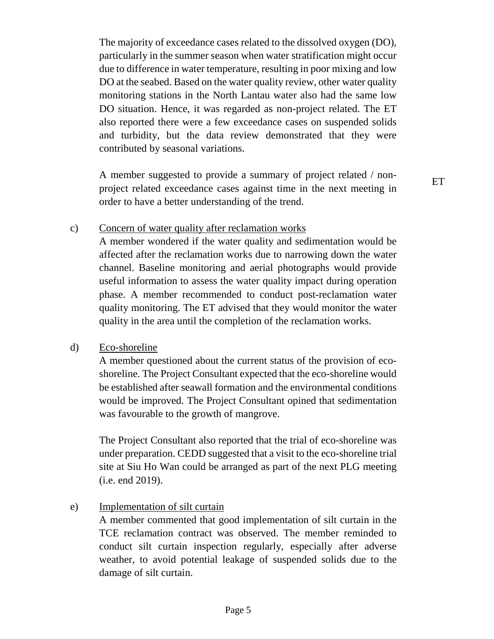The majority of exceedance cases related to the dissolved oxygen (DO), particularly in the summer season when water stratification might occur due to difference in water temperature, resulting in poor mixing and low DO at the seabed. Based on the water quality review, other water quality monitoring stations in the North Lantau water also had the same low DO situation. Hence, it was regarded as non-project related. The ET also reported there were a few exceedance cases on suspended solids and turbidity, but the data review demonstrated that they were contributed by seasonal variations.

A member suggested to provide a summary of project related / nonproject related exceedance cases against time in the next meeting in order to have a better understanding of the trend.

ET

#### c) Concern of water quality after reclamation works

A member wondered if the water quality and sedimentation would be affected after the reclamation works due to narrowing down the water channel. Baseline monitoring and aerial photographs would provide useful information to assess the water quality impact during operation phase. A member recommended to conduct post-reclamation water quality monitoring. The ET advised that they would monitor the water quality in the area until the completion of the reclamation works.

#### d) Eco-shoreline

A member questioned about the current status of the provision of ecoshoreline. The Project Consultant expected that the eco-shoreline would be established after seawall formation and the environmental conditions would be improved. The Project Consultant opined that sedimentation was favourable to the growth of mangrove.

The Project Consultant also reported that the trial of eco-shoreline was under preparation. CEDD suggested that a visit to the eco-shoreline trial site at Siu Ho Wan could be arranged as part of the next PLG meeting (i.e. end 2019).

#### e) Implementation of silt curtain

A member commented that good implementation of silt curtain in the TCE reclamation contract was observed. The member reminded to conduct silt curtain inspection regularly, especially after adverse weather, to avoid potential leakage of suspended solids due to the damage of silt curtain.